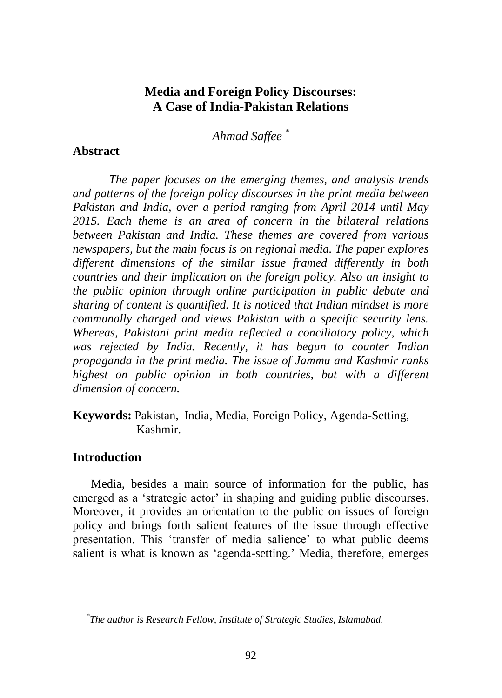# **Media and Foreign Policy Discourses: A Case of India-Pakistan Relations**

*Ahmad Saffee \**

### **Abstract**

*The paper focuses on the emerging themes, and analysis trends and patterns of the foreign policy discourses in the print media between Pakistan and India, over a period ranging from April 2014 until May 2015. Each theme is an area of concern in the bilateral relations between Pakistan and India. These themes are covered from various newspapers, but the main focus is on regional media. The paper explores different dimensions of the similar issue framed differently in both countries and their implication on the foreign policy. Also an insight to the public opinion through online participation in public debate and sharing of content is quantified. It is noticed that Indian mindset is more communally charged and views Pakistan with a specific security lens. Whereas, Pakistani print media reflected a conciliatory policy, which was rejected by India. Recently, it has begun to counter Indian propaganda in the print media. The issue of Jammu and Kashmir ranks highest on public opinion in both countries, but with a different dimension of concern.* 

**Keywords:** Pakistan, India, Media, Foreign Policy, Agenda-Setting, Kashmir.

## **Introduction**

Media, besides a main source of information for the public, has emerged as a 'strategic actor' in shaping and guiding public discourses. Moreover, it provides an orientation to the public on issues of foreign policy and brings forth salient features of the issue through effective presentation. This "transfer of media salience" to what public deems salient is what is known as "agenda-setting." Media, therefore, emerges

*<sup>\*</sup> The author is Research Fellow, Institute of Strategic Studies, Islamabad.*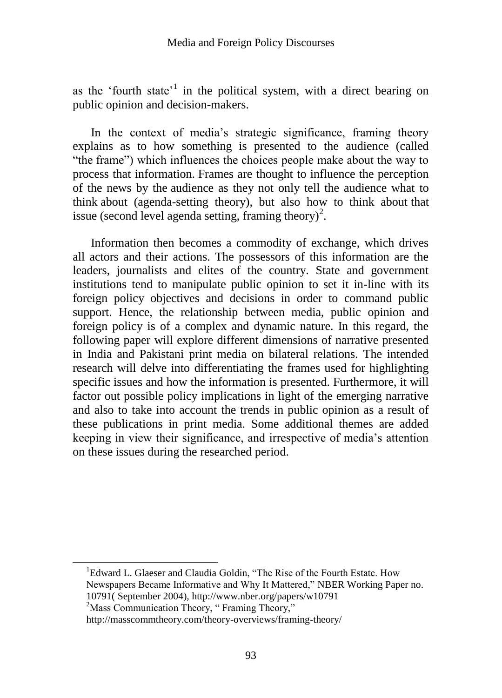as the 'fourth state'<sup>1</sup> in the political system, with a direct bearing on public opinion and decision-makers.

In the context of media"s strategic significance, framing theory explains as to how something is presented to the audience (called "the frame") which influences the choices people make about the way to process that information. Frames are thought to influence the perception of the news by the audience as they not only tell the audience what to think about (agenda-setting theory), but also how to think about that issue (second level agenda setting, framing theory)<sup>2</sup>.

Information then becomes a commodity of exchange, which drives all actors and their actions. The possessors of this information are the leaders, journalists and elites of the country. State and government institutions tend to manipulate public opinion to set it in-line with its foreign policy objectives and decisions in order to command public support. Hence, the relationship between media, public opinion and foreign policy is of a complex and dynamic nature. In this regard, the following paper will explore different dimensions of narrative presented in India and Pakistani print media on bilateral relations. The intended research will delve into differentiating the frames used for highlighting specific issues and how the information is presented. Furthermore, it will factor out possible policy implications in light of the emerging narrative and also to take into account the trends in public opinion as a result of these publications in print media. Some additional themes are added keeping in view their significance, and irrespective of media"s attention on these issues during the researched period.

<sup>1</sup>Edward L. Glaeser and Claudia Goldin, "The Rise of the Fourth Estate. How Newspapers Became Informative and Why It Mattered," NBER Working Paper no. 10791( September 2004), http://www.nber.org/papers/w10791

<sup>2</sup>Mass Communication Theory, "Framing Theory,"

 $\overline{a}$ 

http://masscommtheory.com/theory-overviews/framing-theory/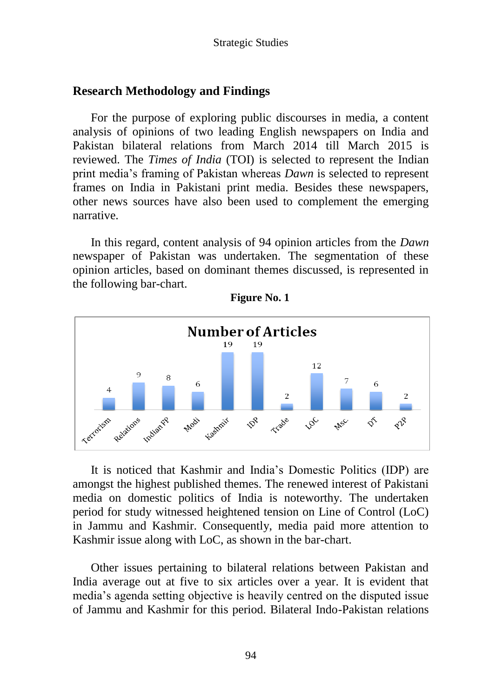# **Research Methodology and Findings**

For the purpose of exploring public discourses in media, a content analysis of opinions of two leading English newspapers on India and Pakistan bilateral relations from March 2014 till March 2015 is reviewed. The *Times of India* (TOI) is selected to represent the Indian print media"s framing of Pakistan whereas *Dawn* is selected to represent frames on India in Pakistani print media. Besides these newspapers, other news sources have also been used to complement the emerging narrative.

In this regard, content analysis of 94 opinion articles from the *Dawn* newspaper of Pakistan was undertaken. The segmentation of these opinion articles, based on dominant themes discussed, is represented in the following bar-chart.



**Figure No. 1**

It is noticed that Kashmir and India"s Domestic Politics (IDP) are amongst the highest published themes. The renewed interest of Pakistani media on domestic politics of India is noteworthy. The undertaken period for study witnessed heightened tension on Line of Control (LoC) in Jammu and Kashmir. Consequently, media paid more attention to Kashmir issue along with LoC, as shown in the bar-chart.

Other issues pertaining to bilateral relations between Pakistan and India average out at five to six articles over a year. It is evident that media"s agenda setting objective is heavily centred on the disputed issue of Jammu and Kashmir for this period. Bilateral Indo-Pakistan relations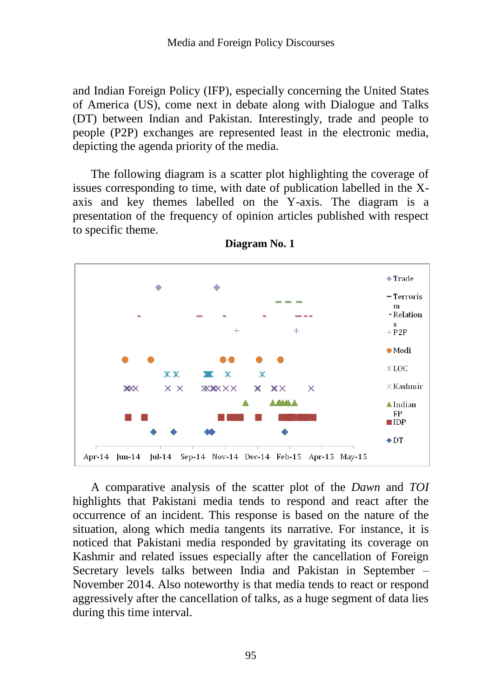and Indian Foreign Policy (IFP), especially concerning the United States of America (US), come next in debate along with Dialogue and Talks (DT) between Indian and Pakistan. Interestingly, trade and people to people (P2P) exchanges are represented least in the electronic media, depicting the agenda priority of the media.

The following diagram is a scatter plot highlighting the coverage of issues corresponding to time, with date of publication labelled in the Xaxis and key themes labelled on the Y-axis. The diagram is a presentation of the frequency of opinion articles published with respect to specific theme.



**Diagram No. 1**

A comparative analysis of the scatter plot of the *Dawn* and *TOI*  highlights that Pakistani media tends to respond and react after the occurrence of an incident. This response is based on the nature of the situation, along which media tangents its narrative. For instance, it is noticed that Pakistani media responded by gravitating its coverage on Kashmir and related issues especially after the cancellation of Foreign Secretary levels talks between India and Pakistan in September – November 2014. Also noteworthy is that media tends to react or respond aggressively after the cancellation of talks, as a huge segment of data lies during this time interval.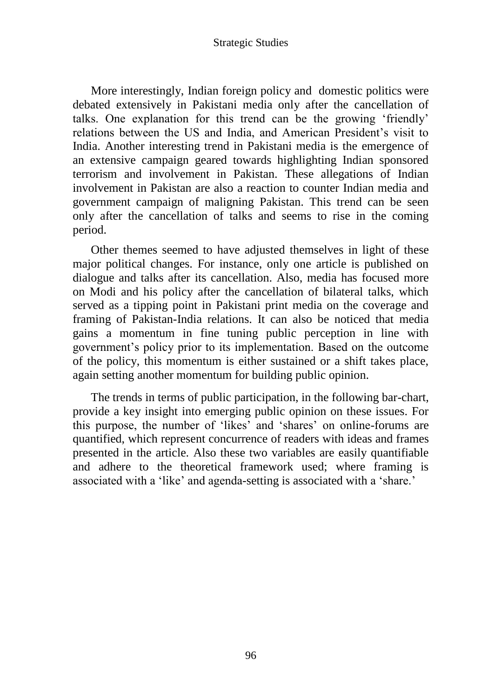More interestingly, Indian foreign policy and domestic politics were debated extensively in Pakistani media only after the cancellation of talks. One explanation for this trend can be the growing "friendly" relations between the US and India, and American President's visit to India. Another interesting trend in Pakistani media is the emergence of an extensive campaign geared towards highlighting Indian sponsored terrorism and involvement in Pakistan. These allegations of Indian involvement in Pakistan are also a reaction to counter Indian media and government campaign of maligning Pakistan. This trend can be seen only after the cancellation of talks and seems to rise in the coming period.

Other themes seemed to have adjusted themselves in light of these major political changes. For instance, only one article is published on dialogue and talks after its cancellation. Also, media has focused more on Modi and his policy after the cancellation of bilateral talks, which served as a tipping point in Pakistani print media on the coverage and framing of Pakistan-India relations. It can also be noticed that media gains a momentum in fine tuning public perception in line with government"s policy prior to its implementation. Based on the outcome of the policy, this momentum is either sustained or a shift takes place, again setting another momentum for building public opinion.

The trends in terms of public participation, in the following bar-chart, provide a key insight into emerging public opinion on these issues. For this purpose, the number of "likes" and "shares" on online-forums are quantified, which represent concurrence of readers with ideas and frames presented in the article. Also these two variables are easily quantifiable and adhere to the theoretical framework used; where framing is associated with a 'like' and agenda-setting is associated with a 'share.'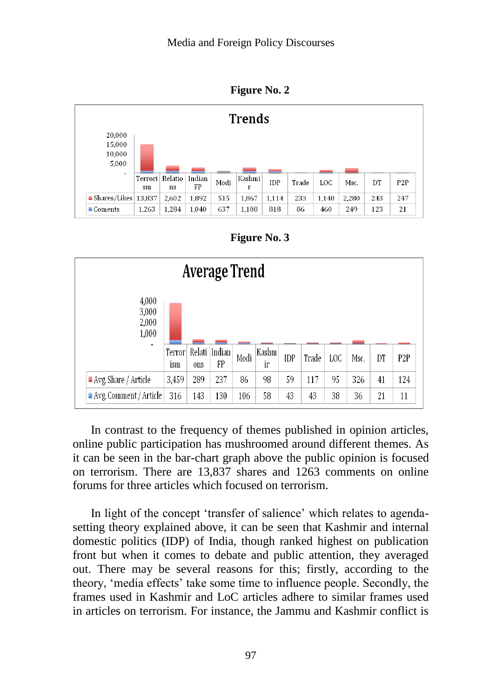

|                                     |               |               |              |      | <b>Trends</b> |            |       |       |       |     |                  |
|-------------------------------------|---------------|---------------|--------------|------|---------------|------------|-------|-------|-------|-----|------------------|
| 20,000<br>15,000<br>10,000<br>5,000 |               |               |              |      |               |            |       |       |       |     |                  |
| ٠                                   | Terrori<br>sm | Relatio<br>ns | Indian<br>FP | Modi | Kashmi<br>r   | <b>IDP</b> | Trade | LOC   | Msc.  | DT  | P <sub>2</sub> P |
| $\blacksquare$ Shares/Likes         | 13.837        | 2,602         | 1,892        | 515  | 1,867         | 1,114      | 233   | 1,140 | 2,280 | 243 | 247              |
| $\blacksquare$ Coments              | 1,263         | 1,284         | 1,040        | 637  | 1,108         | 818        | 86    | 460   | 249   | 123 | 21               |

| <b>Average Trend</b>                  |               |     |                     |      |             |            |       |     |      |    |                  |
|---------------------------------------|---------------|-----|---------------------|------|-------------|------------|-------|-----|------|----|------------------|
| 4,000<br>3,000<br>2,000<br>1,000<br>٠ |               |     |                     |      |             |            |       |     |      |    |                  |
|                                       | Terror<br>ism | ons | Relati Indian<br>FP | Modi | Kashm<br>ir | <b>IDP</b> | Trade | LOC | Msc. | DT | P <sub>2</sub> P |
| $\blacksquare$ Avg. Share / Article   | 3,459         | 289 | 237                 | 86   | 98          | 59         | 117   | 95  | 326  | 41 | 124              |
| $\blacksquare$ Avg. Comment / Article | 316           | 143 | 130                 | 106  | 58          | 43         | 43    | 38  | 36   | 21 | 11               |

In contrast to the frequency of themes published in opinion articles, online public participation has mushroomed around different themes. As it can be seen in the bar-chart graph above the public opinion is focused on terrorism. There are 13,837 shares and 1263 comments on online forums for three articles which focused on terrorism.

In light of the concept 'transfer of salience' which relates to agendasetting theory explained above, it can be seen that Kashmir and internal domestic politics (IDP) of India, though ranked highest on publication front but when it comes to debate and public attention, they averaged out. There may be several reasons for this; firstly, according to the theory, "media effects" take some time to influence people. Secondly, the frames used in Kashmir and LoC articles adhere to similar frames used in articles on terrorism. For instance, the Jammu and Kashmir conflict is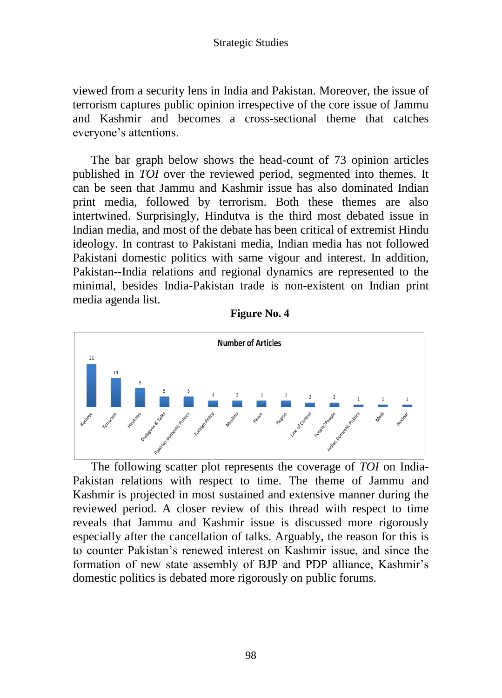viewed from a security lens in India and Pakistan. Moreover, the issue of terrorism captures public opinion irrespective of the core issue of Jammu and Kashmir and becomes a cross-sectional theme that catches everyone's attentions.

The bar graph below shows the head-count of 73 opinion articles published in *TOI* over the reviewed period, segmented into themes. It can be seen that Jammu and Kashmir issue has also dominated Indian print media, followed by terrorism. Both these themes are also intertwined. Surprisingly, Hindutva is the third most debated issue in Indian media, and most of the debate has been critical of extremist Hindu ideology. In contrast to Pakistani media, Indian media has not followed Pakistani domestic politics with same vigour and interest. In addition, Pakistan--India relations and regional dynamics are represented to the minimal, besides India-Pakistan trade is non-existent on Indian print media agenda list.

**Figure No. 4**



The following scatter plot represents the coverage of *TOI* on India-Pakistan relations with respect to time. The theme of Jammu and Kashmir is projected in most sustained and extensive manner during the reviewed period. A closer review of this thread with respect to time reveals that Jammu and Kashmir issue is discussed more rigorously especially after the cancellation of talks. Arguably, the reason for this is to counter Pakistan"s renewed interest on Kashmir issue, and since the formation of new state assembly of BJP and PDP alliance, Kashmir's domestic politics is debated more rigorously on public forums.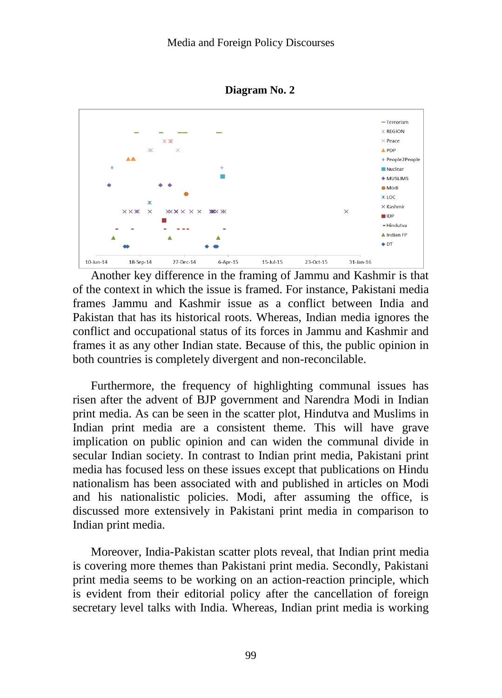



Another key difference in the framing of Jammu and Kashmir is that of the context in which the issue is framed. For instance, Pakistani media frames Jammu and Kashmir issue as a conflict between India and Pakistan that has its historical roots. Whereas, Indian media ignores the conflict and occupational status of its forces in Jammu and Kashmir and frames it as any other Indian state. Because of this, the public opinion in both countries is completely divergent and non-reconcilable.

Furthermore, the frequency of highlighting communal issues has risen after the advent of BJP government and Narendra Modi in Indian print media. As can be seen in the scatter plot, Hindutva and Muslims in Indian print media are a consistent theme. This will have grave implication on public opinion and can widen the communal divide in secular Indian society. In contrast to Indian print media, Pakistani print media has focused less on these issues except that publications on Hindu nationalism has been associated with and published in articles on Modi and his nationalistic policies. Modi, after assuming the office, is discussed more extensively in Pakistani print media in comparison to Indian print media.

Moreover, India-Pakistan scatter plots reveal, that Indian print media is covering more themes than Pakistani print media. Secondly, Pakistani print media seems to be working on an action-reaction principle, which is evident from their editorial policy after the cancellation of foreign secretary level talks with India. Whereas, Indian print media is working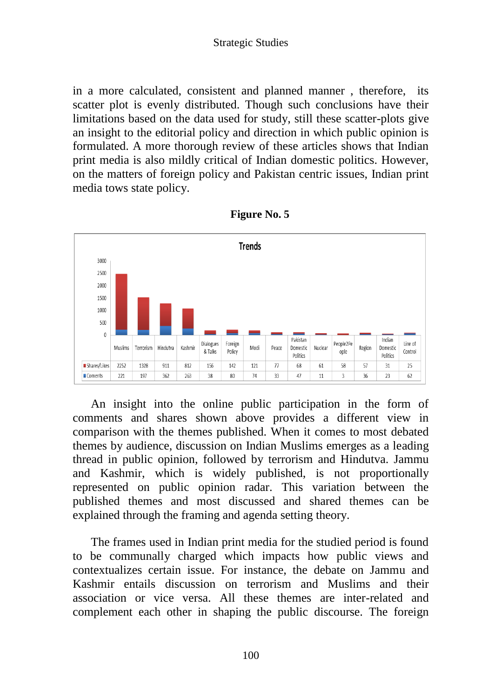in a more calculated, consistent and planned manner , therefore, its scatter plot is evenly distributed. Though such conclusions have their limitations based on the data used for study, still these scatter-plots give an insight to the editorial policy and direction in which public opinion is formulated. A more thorough review of these articles shows that Indian print media is also mildly critical of Indian domestic politics. However, on the matters of foreign policy and Pakistan centric issues, Indian print media tows state policy.



| <b>Figure No. 5</b> |  |  |
|---------------------|--|--|
|---------------------|--|--|

An insight into the online public participation in the form of comments and shares shown above provides a different view in comparison with the themes published. When it comes to most debated themes by audience, discussion on Indian Muslims emerges as a leading thread in public opinion, followed by terrorism and Hindutva. Jammu and Kashmir, which is widely published, is not proportionally represented on public opinion radar. This variation between the published themes and most discussed and shared themes can be explained through the framing and agenda setting theory.

The frames used in Indian print media for the studied period is found to be communally charged which impacts how public views and contextualizes certain issue. For instance, the debate on Jammu and Kashmir entails discussion on terrorism and Muslims and their association or vice versa. All these themes are inter-related and complement each other in shaping the public discourse. The foreign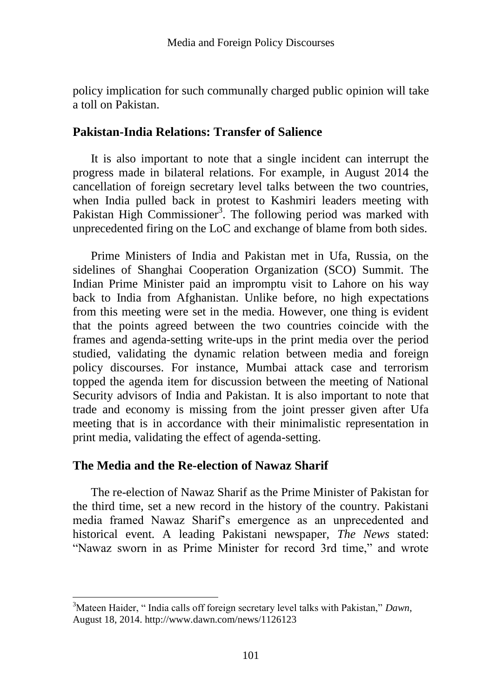policy implication for such communally charged public opinion will take a toll on Pakistan.

### **Pakistan-India Relations: Transfer of Salience**

It is also important to note that a single incident can interrupt the progress made in bilateral relations. For example, in August 2014 the cancellation of foreign secretary level talks between the two countries, when India pulled back in protest to Kashmiri leaders meeting with Pakistan High Commissioner<sup>3</sup>. The following period was marked with unprecedented firing on the LoC and exchange of blame from both sides.

Prime Ministers of India and Pakistan met in Ufa, Russia, on the sidelines of Shanghai Cooperation Organization (SCO) Summit. The Indian Prime Minister paid an impromptu visit to Lahore on his way back to India from Afghanistan. Unlike before, no high expectations from this meeting were set in the media. However, one thing is evident that the points agreed between the two countries coincide with the frames and agenda-setting write-ups in the print media over the period studied, validating the dynamic relation between media and foreign policy discourses. For instance, Mumbai attack case and terrorism topped the agenda item for discussion between the meeting of National Security advisors of India and Pakistan. It is also important to note that trade and economy is missing from the joint presser given after Ufa meeting that is in accordance with their minimalistic representation in print media, validating the effect of agenda-setting.

## **The Media and the Re-election of Nawaz Sharif**

 $\overline{a}$ 

The re-election of Nawaz Sharif as the Prime Minister of Pakistan for the third time, set a new record in the history of the country. Pakistani media framed Nawaz Sharif"s emergence as an unprecedented and historical event. A leading Pakistani newspaper, *The News* stated: "Nawaz sworn in as Prime Minister for record 3rd time," and wrote

<sup>3</sup>Mateen Haider, " India calls off foreign secretary level talks with Pakistan," *Dawn*, August 18, 2014. http://www.dawn.com/news/1126123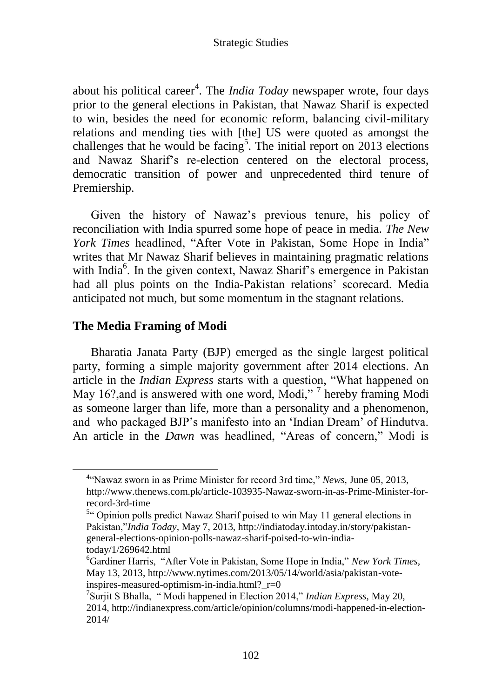about his political career<sup>4</sup>. The *India Today* newspaper wrote, four days prior to the general elections in Pakistan, that Nawaz Sharif is expected to win, besides the need for economic reform, balancing civil-military relations and mending ties with [the] US were quoted as amongst the challenges that he would be facing<sup>5</sup>. The initial report on 2013 elections and Nawaz Sharif"s re-election centered on the electoral process, democratic transition of power and unprecedented third tenure of Premiership.

Given the history of Nawaz"s previous tenure, his policy of reconciliation with India spurred some hope of peace in media. *The New York Times* headlined, "After Vote in Pakistan, Some Hope in India" writes that Mr Nawaz Sharif believes in maintaining pragmatic relations with India<sup>6</sup>. In the given context, Nawaz Sharif's emergence in Pakistan had all plus points on the India-Pakistan relations' scorecard. Media anticipated not much, but some momentum in the stagnant relations.

## **The Media Framing of Modi**

 $\overline{a}$ 

Bharatia Janata Party (BJP) emerged as the single largest political party, forming a simple majority government after 2014 elections. An article in the *Indian Express* starts with a question, "What happened on May 16?, and is answered with one word, Modi,"<sup>7</sup> hereby framing Modi as someone larger than life, more than a personality and a phenomenon, and who packaged BJP"s manifesto into an "Indian Dream" of Hindutva. An article in the *Dawn* was headlined, "Areas of concern," Modi is

<sup>4</sup> "Nawaz sworn in as Prime Minister for record 3rd time," *News,* June 05, 2013, http://www.thenews.com.pk/article-103935-Nawaz-sworn-in-as-Prime-Minister-forrecord-3rd-time

<sup>&</sup>lt;sup>5</sup><sup>t</sup> Opinion polls predict Nawaz Sharif poised to win May 11 general elections in Pakistan,"*India Today,* May 7, 2013, http://indiatoday.intoday.in/story/pakistangeneral-elections-opinion-polls-nawaz-sharif-poised-to-win-indiatoday/1/269642.html

<sup>6</sup>Gardiner Harris, "After Vote in Pakistan, Some Hope in India," *New York Times,*  May 13, 2013, http://www.nytimes.com/2013/05/14/world/asia/pakistan-voteinspires-measured-optimism-in-india.html? $r=0$ 

<sup>7</sup> Surjit S Bhalla, " Modi happened in Election 2014," *Indian Express,* May 20, 2014, http://indianexpress.com/article/opinion/columns/modi-happened-in-election-2014/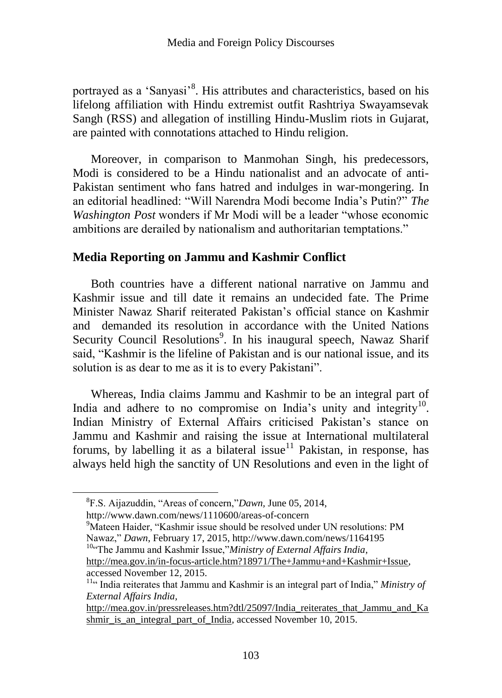portrayed as a 'Sanyasi'<sup>8</sup>. His attributes and characteristics, based on his lifelong affiliation with Hindu extremist outfit Rashtriya Swayamsevak Sangh (RSS) and allegation of instilling Hindu-Muslim riots in Gujarat, are painted with connotations attached to Hindu religion.

Moreover, in comparison to Manmohan Singh, his predecessors, Modi is considered to be a Hindu nationalist and an advocate of anti-Pakistan sentiment who fans hatred and indulges in war-mongering. In an editorial headlined: "Will Narendra Modi become India"s Putin?" *The Washington Post* wonders if Mr Modi will be a leader "whose economic ambitions are derailed by nationalism and authoritarian temptations."

## **Media Reporting on Jammu and Kashmir Conflict**

Both countries have a different national narrative on Jammu and Kashmir issue and till date it remains an undecided fate. The Prime Minister Nawaz Sharif reiterated Pakistan"s official stance on Kashmir and demanded its resolution in accordance with the United Nations Security Council Resolutions<sup>9</sup>. In his inaugural speech, Nawaz Sharif said, "Kashmir is the lifeline of Pakistan and is our national issue, and its solution is as dear to me as it is to every Pakistani".

Whereas, India claims Jammu and Kashmir to be an integral part of India and adhere to no compromise on India's unity and integrity<sup>10</sup>. Indian Ministry of External Affairs criticised Pakistan"s stance on Jammu and Kashmir and raising the issue at International multilateral forums, by labelling it as a bilateral issue<sup>11</sup> Pakistan, in response, has always held high the sanctity of UN Resolutions and even in the light of

http://www.dawn.com/news/1110600/areas-of-concern

 $\overline{a}$ 

<sup>10"</sup>The Jammu and Kashmir Issue,"*Ministry of External Affairs India*,

<sup>8</sup> F.S. Aijazuddin, "Areas of concern,"*Dawn,* June 05, 2014,

<sup>&</sup>lt;sup>9</sup>Mateen Haider, "Kashmir issue should be resolved under UN resolutions: PM Nawaz," *Dawn*, February 17, 2015, http://www.dawn.com/news/1164195

[http://mea.gov.in/in-focus-article.htm?18971/The+Jammu+and+Kashmir+Issue,](http://mea.gov.in/in-focus-article.htm?18971/The+Jammu+and+Kashmir+Issue)  accessed November 12, 2015.

<sup>&</sup>lt;sup>11"</sup> India reiterates that Jammu and Kashmir is an integral part of India," Ministry of *External Affairs India,* 

[http://mea.gov.in/pressreleases.htm?dtl/25097/India\\_reiterates\\_that\\_Jammu\\_and\\_Ka](http://mea.gov.in/pressreleases.htm?dtl/25097/India_reiterates_that_Jammu_and_Kashmir_is_an_integral_part_of_India) [shmir\\_is\\_an\\_integral\\_part\\_of\\_India,](http://mea.gov.in/pressreleases.htm?dtl/25097/India_reiterates_that_Jammu_and_Kashmir_is_an_integral_part_of_India) accessed November 10, 2015.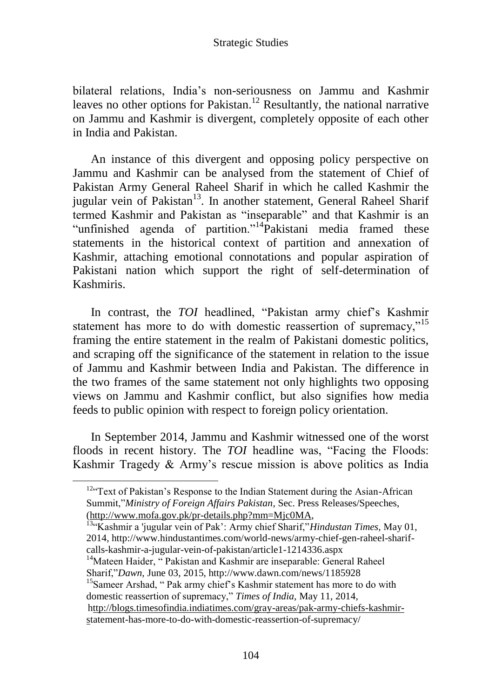bilateral relations, India"s non-seriousness on Jammu and Kashmir leaves no other options for Pakistan.<sup>12</sup> Resultantly, the national narrative on Jammu and Kashmir is divergent, completely opposite of each other in India and Pakistan.

An instance of this divergent and opposing policy perspective on Jammu and Kashmir can be analysed from the statement of Chief of Pakistan Army General Raheel Sharif in which he called Kashmir the jugular vein of Pakistan<sup>13</sup>. In another statement, General Raheel Sharif termed Kashmir and Pakistan as "inseparable" and that Kashmir is an "unfinished agenda of partition."<sup>14</sup>Pakistani media framed these statements in the historical context of partition and annexation of Kashmir, attaching emotional connotations and popular aspiration of Pakistani nation which support the right of self-determination of Kashmiris.

In contrast, the *TOI* headlined, "Pakistan army chief's Kashmir statement has more to do with domestic reassertion of supremacy,"<sup>15</sup> framing the entire statement in the realm of Pakistani domestic politics, and scraping off the significance of the statement in relation to the issue of Jammu and Kashmir between India and Pakistan. The difference in the two frames of the same statement not only highlights two opposing views on Jammu and Kashmir conflict, but also signifies how media feeds to public opinion with respect to foreign policy orientation.

In September 2014, Jammu and Kashmir witnessed one of the worst floods in recent history. The *TOI* headline was, "Facing the Floods: Kashmir Tragedy & Army"s rescue mission is above politics as India

domestic reassertion of supremacy," *Times of India,* May 11, 2014, [http://blogs.timesofindia.indiatimes.com/gray-areas/pak-army-chiefs-kashmir](ttp://blogs.timesofindia.indiatimes.com/gray-areas/pak-army-chiefs-kashmir-s)[st](ttp://blogs.timesofindia.indiatimes.com/gray-areas/pak-army-chiefs-kashmir-s)atement-has-more-to-do-with-domestic-reassertion-of-supremacy/

104

 $12$ <sup>c</sup> Text of Pakistan's Response to the Indian Statement during the Asian-African Summit,"*Ministry of Foreign Affairs Pakistan*, Sec. Press Releases/Speeches, [\(http://www.mofa.gov.pk/pr-details.php?mm=Mjc0MA,](http://www.mofa.gov.pk/pr-details.php?mm=Mjc0MA)

<sup>13</sup>"Kashmir a 'jugular vein of Pak": Army chief Sharif,"*Hindustan Times,* May 01, 2014, http://www.hindustantimes.com/world-news/army-chief-gen-raheel-sharifcalls-kashmir-a-jugular-vein-of-pakistan/article1-1214336.aspx

<sup>&</sup>lt;sup>14</sup>Mateen Haider, "Pakistan and Kashmir are inseparable: General Raheel Sharif,"*Dawn,* June 03, 2015, http://www.dawn.com/news/1185928 <sup>15</sup>Sameer Arshad, " Pak army chief's Kashmir statement has more to do with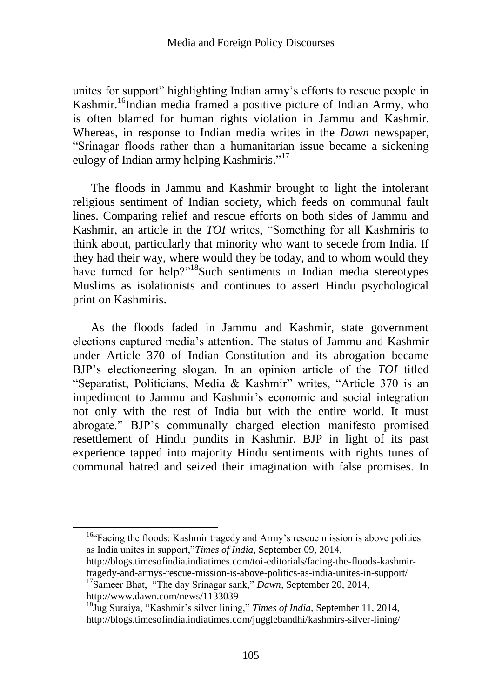unites for support" highlighting Indian army"s efforts to rescue people in Kashmir.<sup>16</sup>Indian media framed a positive picture of Indian Army, who is often blamed for human rights violation in Jammu and Kashmir. Whereas, in response to Indian media writes in the *Dawn* newspaper, "Srinagar floods rather than a humanitarian issue became a sickening eulogy of Indian army helping Kashmiris."<sup>17</sup>

The floods in Jammu and Kashmir brought to light the intolerant religious sentiment of Indian society, which feeds on communal fault lines. Comparing relief and rescue efforts on both sides of Jammu and Kashmir, an article in the *TOI* writes, "Something for all Kashmiris to think about, particularly that minority who want to secede from India. If they had their way, where would they be today, and to whom would they have turned for help?"<sup>18</sup>Such sentiments in Indian media stereotypes Muslims as isolationists and continues to assert Hindu psychological print on Kashmiris.

As the floods faded in Jammu and Kashmir, state government elections captured media"s attention. The status of Jammu and Kashmir under Article 370 of Indian Constitution and its abrogation became BJP"s electioneering slogan. In an opinion article of the *TOI* titled "Separatist, Politicians, Media & Kashmir" writes, "Article 370 is an impediment to Jammu and Kashmir's economic and social integration not only with the rest of India but with the entire world. It must abrogate." BJP"s communally charged election manifesto promised resettlement of Hindu pundits in Kashmir. BJP in light of its past experience tapped into majority Hindu sentiments with rights tunes of communal hatred and seized their imagination with false promises. In

http://www.dawn.com/news/1133039

 $\overline{a}$ 

<sup>&</sup>lt;sup>16.</sup> Facing the floods: Kashmir tragedy and Army's rescue mission is above politics as India unites in support,"*Times of India*, September 09, 2014,

http://blogs.timesofindia.indiatimes.com/toi-editorials/facing-the-floods-kashmirtragedy-and-armys-rescue-mission-is-above-politics-as-india-unites-in-support/ <sup>17</sup>Sameer Bhat, "The day Srinagar sank," *Dawn,* September 20, 2014,

<sup>18</sup>Jug Suraiya, "Kashmir"s silver lining," *Times of India,* September 11, 2014, http://blogs.timesofindia.indiatimes.com/jugglebandhi/kashmirs-silver-lining/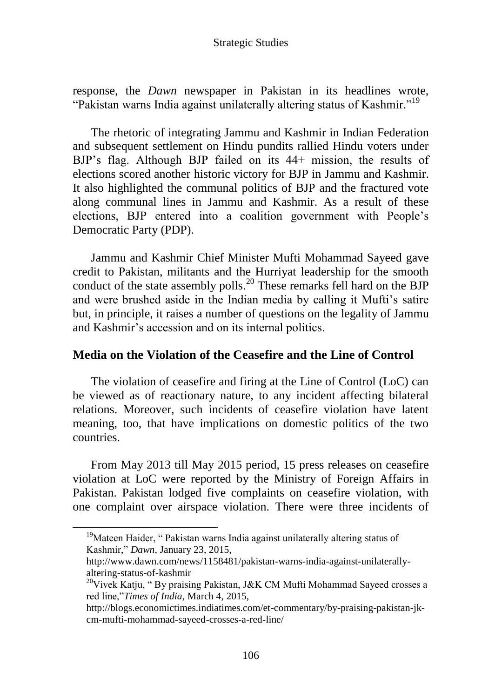response, the *Dawn* newspaper in Pakistan in its headlines wrote, "Pakistan warns India against unilaterally altering status of Kashmir."<sup>19</sup>

The rhetoric of integrating Jammu and Kashmir in Indian Federation and subsequent settlement on Hindu pundits rallied Hindu voters under BJP"s flag. Although BJP failed on its 44+ mission, the results of elections scored another historic victory for BJP in Jammu and Kashmir. It also highlighted the communal politics of BJP and the fractured vote along communal lines in Jammu and Kashmir. As a result of these elections, BJP entered into a coalition government with People"s Democratic Party (PDP).

Jammu and Kashmir Chief Minister Mufti Mohammad Sayeed gave credit to Pakistan, militants and the Hurriyat leadership for the smooth conduct of the state assembly polls.<sup>20</sup> These remarks fell hard on the BJP and were brushed aside in the Indian media by calling it Mufti"s satire but, in principle, it raises a number of questions on the legality of Jammu and Kashmir"s accession and on its internal politics.

## **Media on the Violation of the Ceasefire and the Line of Control**

The violation of ceasefire and firing at the Line of Control (LoC) can be viewed as of reactionary nature, to any incident affecting bilateral relations. Moreover, such incidents of ceasefire violation have latent meaning, too, that have implications on domestic politics of the two countries.

From May 2013 till May 2015 period, 15 press releases on ceasefire violation at LoC were reported by the Ministry of Foreign Affairs in Pakistan. Pakistan lodged five complaints on ceasefire violation, with one complaint over airspace violation. There were three incidents of

 $\overline{a}$ 

<sup>&</sup>lt;sup>19</sup>Mateen Haider, "Pakistan warns India against unilaterally altering status of Kashmir," *Dawn,* January 23, 2015,

http://www.dawn.com/news/1158481/pakistan-warns-india-against-unilaterallyaltering-status-of-kashmir

<sup>&</sup>lt;sup>20</sup>Vivek Katju, "By praising Pakistan, J&K CM Mufti Mohammad Sayeed crosses a red line,"*Times of India,* March 4, 2015,

http://blogs.economictimes.indiatimes.com/et-commentary/by-praising-pakistan-jkcm-mufti-mohammad-sayeed-crosses-a-red-line/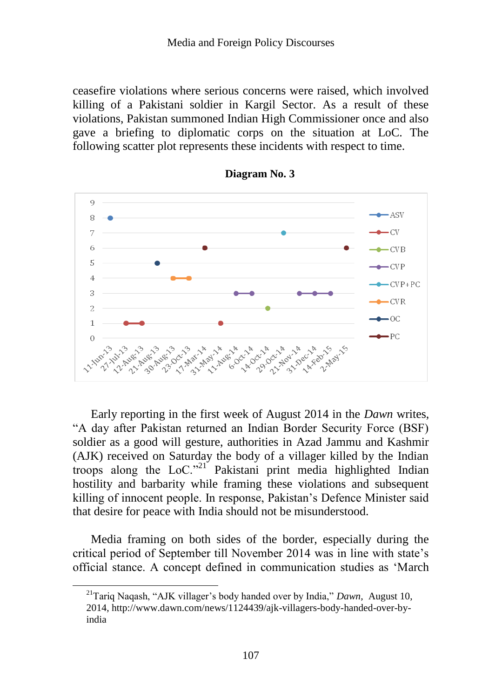ceasefire violations where serious concerns were raised, which involved killing of a Pakistani soldier in Kargil Sector. As a result of these violations, Pakistan summoned Indian High Commissioner once and also gave a briefing to diplomatic corps on the situation at LoC. The following scatter plot represents these incidents with respect to time.





Early reporting in the first week of August 2014 in the *Dawn* writes, "A day after Pakistan returned an Indian Border Security Force (BSF) soldier as a good will gesture, authorities in Azad Jammu and Kashmir (AJK) received on Saturday the body of a villager killed by the Indian troops along the LoC."<sup>21</sup> Pakistani print media highlighted Indian hostility and barbarity while framing these violations and subsequent killing of innocent people. In response, Pakistan"s Defence Minister said that desire for peace with India should not be misunderstood.

Media framing on both sides of the border, especially during the critical period of September till November 2014 was in line with state"s official stance. A concept defined in communication studies as "March

<sup>21</sup>Tariq Naqash, "AJK villager"s body handed over by India," *Dawn,* August 10, 2014, http://www.dawn.com/news/1124439/ajk-villagers-body-handed-over-byindia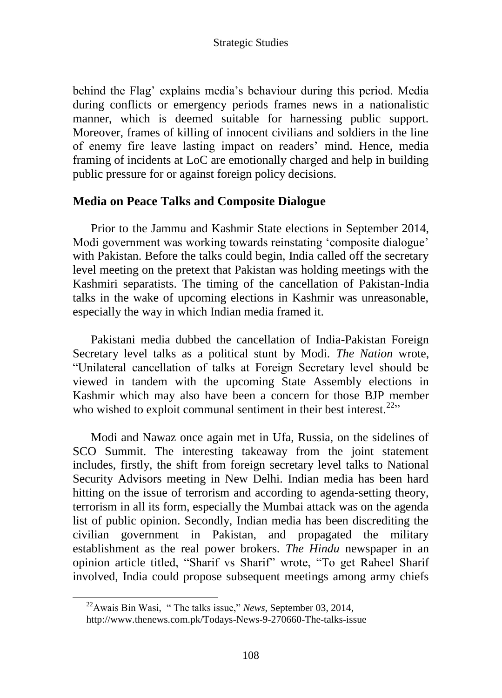behind the Flag' explains media's behaviour during this period. Media during conflicts or emergency periods frames news in a nationalistic manner, which is deemed suitable for harnessing public support. Moreover, frames of killing of innocent civilians and soldiers in the line of enemy fire leave lasting impact on readers" mind. Hence, media framing of incidents at LoC are emotionally charged and help in building public pressure for or against foreign policy decisions.

# **Media on Peace Talks and Composite Dialogue**

Prior to the Jammu and Kashmir State elections in September 2014, Modi government was working towards reinstating 'composite dialogue' with Pakistan. Before the talks could begin, India called off the secretary level meeting on the pretext that Pakistan was holding meetings with the Kashmiri separatists. The timing of the cancellation of Pakistan-India talks in the wake of upcoming elections in Kashmir was unreasonable, especially the way in which Indian media framed it.

Pakistani media dubbed the cancellation of India-Pakistan Foreign Secretary level talks as a political stunt by Modi. *The Nation* wrote, "Unilateral cancellation of talks at Foreign Secretary level should be viewed in tandem with the upcoming State Assembly elections in Kashmir which may also have been a concern for those BJP member who wished to exploit communal sentiment in their best interest.<sup>22</sup>"

Modi and Nawaz once again met in Ufa, Russia, on the sidelines of SCO Summit. The interesting takeaway from the joint statement includes, firstly, the shift from foreign secretary level talks to National Security Advisors meeting in New Delhi. Indian media has been hard hitting on the issue of terrorism and according to agenda-setting theory, terrorism in all its form, especially the Mumbai attack was on the agenda list of public opinion. Secondly, Indian media has been discrediting the civilian government in Pakistan, and propagated the military establishment as the real power brokers. *The Hindu* newspaper in an opinion article titled, "Sharif vs Sharif" wrote, "To get Raheel Sharif involved, India could propose subsequent meetings among army chiefs

 $\overline{a}$ 

<sup>22</sup>Awais Bin Wasi, " The talks issue," *News,* September 03, 2014,

http://www.thenews.com.pk/Todays-News-9-270660-The-talks-issue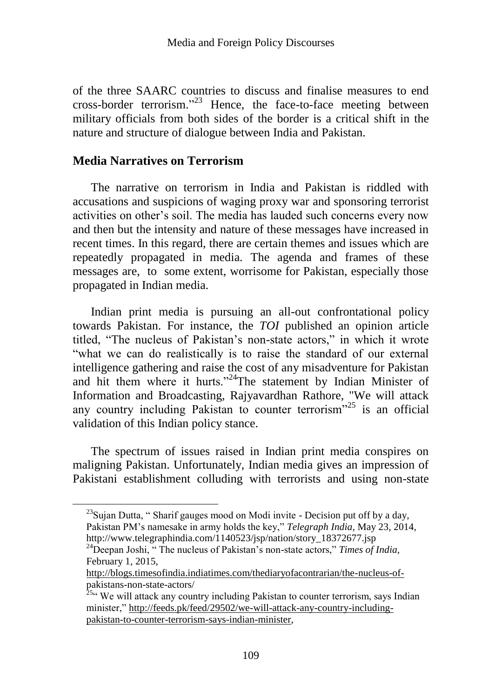of the three SAARC countries to discuss and finalise measures to end cross-border terrorism."<sup>23</sup> Hence, the face-to-face meeting between military officials from both sides of the border is a critical shift in the nature and structure of dialogue between India and Pakistan.

# **Media Narratives on Terrorism**

The narrative on terrorism in India and Pakistan is riddled with accusations and suspicions of waging proxy war and sponsoring terrorist activities on other"s soil. The media has lauded such concerns every now and then but the intensity and nature of these messages have increased in recent times. In this regard, there are certain themes and issues which are repeatedly propagated in media. The agenda and frames of these messages are, to some extent, worrisome for Pakistan, especially those propagated in Indian media.

Indian print media is pursuing an all-out confrontational policy towards Pakistan. For instance, the *TOI* published an opinion article titled, "The nucleus of Pakistan"s non-state actors," in which it wrote "what we can do realistically is to raise the standard of our external intelligence gathering and raise the cost of any misadventure for Pakistan and hit them where it hurts."<sup>24</sup>The statement by Indian Minister of Information and Broadcasting, Rajyavardhan Rathore, "We will attack any country including Pakistan to counter terrorism<sup> $25$ </sup> is an official validation of this Indian policy stance.

The spectrum of issues raised in Indian print media conspires on maligning Pakistan. Unfortunately, Indian media gives an impression of Pakistani establishment colluding with terrorists and using non-state

 $^{23}$ Sujan Dutta, " Sharif gauges mood on Modi invite - Decision put off by a day, Pakistan PM"s namesake in army holds the key," *Telegraph India,* May 23, 2014, http://www.telegraphindia.com/1140523/jsp/nation/story\_18372677.jsp

<sup>&</sup>lt;sup>24</sup>Deepan Joshi, " The nucleus of Pakistan's non-state actors," *Times of India*, February 1, 2015,

[http://blogs.timesofindia.indiatimes.com/thediaryofacontrarian/the-nucleus-of](http://blogs.timesofindia.indiatimes.com/thediaryofacontrarian/the-nucleus-of-)pakistans-non-state-actors/

 $25$ <sup>25.</sup> We will attack any country including Pakistan to counter terrorism, says Indian minister,[" http://feeds.pk/feed/29502/we-will-attack-any-country-including](http://feeds.pk/feed/29502/we-will-attack-any-country-including-pakistan-to-counter-terrorism-says-indian-minister)[pakistan-to-counter-terrorism-says-indian-minister,](http://feeds.pk/feed/29502/we-will-attack-any-country-including-pakistan-to-counter-terrorism-says-indian-minister)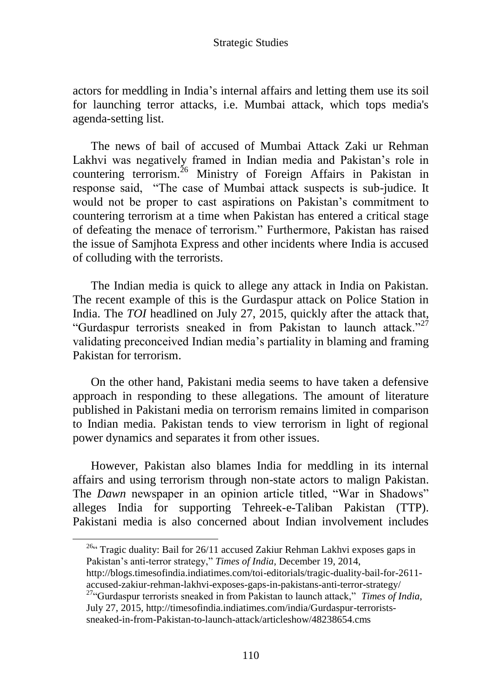actors for meddling in India"s internal affairs and letting them use its soil for launching terror attacks, i.e. Mumbai attack, which tops media's agenda-setting list.

The news of bail of accused of Mumbai Attack Zaki ur Rehman Lakhvi was negatively framed in Indian media and Pakistan"s role in countering terrorism.<sup>26</sup> Ministry of Foreign Affairs in Pakistan in response said, "The case of Mumbai attack suspects is sub-judice. It would not be proper to cast aspirations on Pakistan"s commitment to countering terrorism at a time when Pakistan has entered a critical stage of defeating the menace of terrorism." Furthermore, Pakistan has raised the issue of Samjhota Express and other incidents where India is accused of colluding with the terrorists.

The Indian media is quick to allege any attack in India on Pakistan. The recent example of this is the Gurdaspur attack on Police Station in India. The *TOI* headlined on July 27, 2015, quickly after the attack that, "Gurdaspur terrorists sneaked in from Pakistan to launch attack."<sup>27</sup> validating preconceived Indian media"s partiality in blaming and framing Pakistan for terrorism.

On the other hand, Pakistani media seems to have taken a defensive approach in responding to these allegations. The amount of literature published in Pakistani media on terrorism remains limited in comparison to Indian media. Pakistan tends to view terrorism in light of regional power dynamics and separates it from other issues.

However, Pakistan also blames India for meddling in its internal affairs and using terrorism through non-state actors to malign Pakistan. The *Dawn* newspaper in an opinion article titled, "War in Shadows" alleges India for supporting Tehreek-e-Taliban Pakistan (TTP). Pakistani media is also concerned about Indian involvement includes

<sup>26</sup><sup>c</sup> Tragic duality: Bail for 26/11 accused Zakiur Rehman Lakhvi exposes gaps in Pakistan"s anti-terror strategy," *Times of India,* December 19, 2014,

http://blogs.timesofindia.indiatimes.com/toi-editorials/tragic-duality-bail-for-2611 accused-zakiur-rehman-lakhvi-exposes-gaps-in-pakistans-anti-terror-strategy/

<sup>27</sup>"Gurdaspur terrorists sneaked in from Pakistan to launch attack," *Times of India,*  July 27, 2015, http://timesofindia.indiatimes.com/india/Gurdaspur-terroristssneaked-in-from-Pakistan-to-launch-attack/articleshow/48238654.cms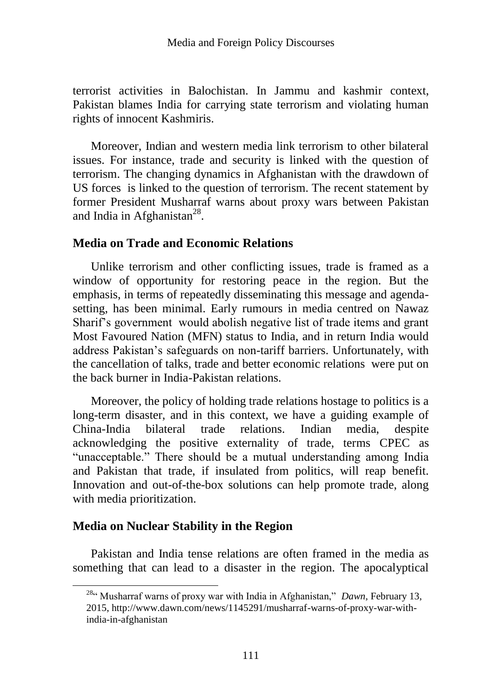terrorist activities in Balochistan. In Jammu and kashmir context, Pakistan blames India for carrying state terrorism and violating human rights of innocent Kashmiris.

Moreover, Indian and western media link terrorism to other bilateral issues. For instance, trade and security is linked with the question of terrorism. The changing dynamics in Afghanistan with the drawdown of US forces is linked to the question of terrorism. The recent statement by former President Musharraf warns about proxy wars between Pakistan and India in Afghanistan $^{28}$ .

# **Media on Trade and Economic Relations**

Unlike terrorism and other conflicting issues, trade is framed as a window of opportunity for restoring peace in the region. But the emphasis, in terms of repeatedly disseminating this message and agendasetting, has been minimal. Early rumours in media centred on Nawaz Sharif"s government would abolish negative list of trade items and grant Most Favoured Nation (MFN) status to India, and in return India would address Pakistan"s safeguards on non-tariff barriers. Unfortunately, with the cancellation of talks, trade and better economic relations were put on the back burner in India-Pakistan relations.

Moreover, the policy of holding trade relations hostage to politics is a long-term disaster, and in this context, we have a guiding example of China-India bilateral trade relations. Indian media, despite acknowledging the positive externality of trade, terms CPEC as "unacceptable." There should be a mutual understanding among India and Pakistan that trade, if insulated from politics, will reap benefit. Innovation and out-of-the-box solutions can help promote trade, along with media prioritization.

# **Media on Nuclear Stability in the Region**

Pakistan and India tense relations are often framed in the media as something that can lead to a disaster in the region. The apocalyptical

<sup>&</sup>lt;sup>28"</sup> Musharraf warns of proxy war with India in Afghanistan," *Dawn*, February 13, 2015, http://www.dawn.com/news/1145291/musharraf-warns-of-proxy-war-withindia-in-afghanistan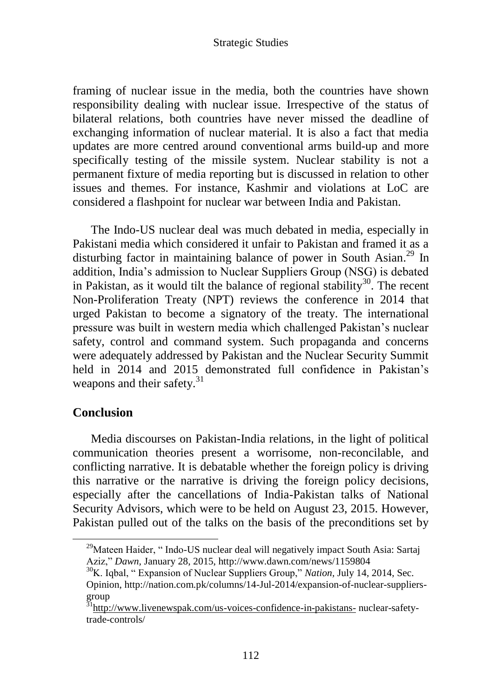framing of nuclear issue in the media, both the countries have shown responsibility dealing with nuclear issue. Irrespective of the status of bilateral relations, both countries have never missed the deadline of exchanging information of nuclear material. It is also a fact that media updates are more centred around conventional arms build-up and more specifically testing of the missile system. Nuclear stability is not a permanent fixture of media reporting but is discussed in relation to other issues and themes. For instance, Kashmir and violations at LoC are considered a flashpoint for nuclear war between India and Pakistan.

The Indo-US nuclear deal was much debated in media, especially in Pakistani media which considered it unfair to Pakistan and framed it as a disturbing factor in maintaining balance of power in South Asian.<sup>29</sup> In addition, India"s admission to Nuclear Suppliers Group (NSG) is debated in Pakistan, as it would tilt the balance of regional stability<sup>30</sup>. The recent Non-Proliferation Treaty (NPT) reviews the conference in 2014 that urged Pakistan to become a signatory of the treaty. The international pressure was built in western media which challenged Pakistan"s nuclear safety, control and command system. Such propaganda and concerns were adequately addressed by Pakistan and the Nuclear Security Summit held in 2014 and 2015 demonstrated full confidence in Pakistan's weapons and their safety.<sup>31</sup>

## **Conclusion**

Media discourses on Pakistan-India relations, in the light of political communication theories present a worrisome, non-reconcilable, and conflicting narrative. It is debatable whether the foreign policy is driving this narrative or the narrative is driving the foreign policy decisions, especially after the cancellations of India-Pakistan talks of National Security Advisors, which were to be held on August 23, 2015. However, Pakistan pulled out of the talks on the basis of the preconditions set by

<sup>&</sup>lt;sup>29</sup>Mateen Haider, "Indo-US nuclear deal will negatively impact South Asia: Sartaj Aziz," *Dawn,* January 28, 2015, http://www.dawn.com/news/1159804

<sup>30</sup>K. Iqbal, " Expansion of Nuclear Suppliers Group," *Nation,* July 14, 2014, Sec. Opinion, http://nation.com.pk/columns/14-Jul-2014/expansion-of-nuclear-suppliersgroup

<sup>&</sup>lt;sup>31</sup><http://www.livenewspak.com/us-voices-confidence-in-pakistans-> nuclear-safetytrade-controls/